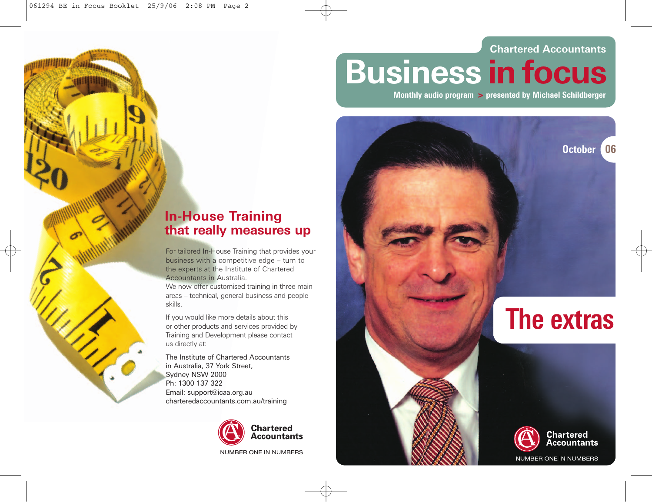#### **Chartered Accountants**

# **Business in focus**

**Monthly audio program > presented by Michael Schildberger**



For tailored In-House Training that provides your business with a competitive edge – turn to the experts at the Institute of Chartered Accountants in Australia.

We now offer customised training in three main areas – technical, general business and people skills.

If you would like more details about this or other products and services provided by Training and Development please contact us directly at:

The Institute of Chartered Accountants in Australia, 37 York Street, Sydney NSW 2000 Ph: 1300 137 322 Email: support@icaa.org.au charteredaccountants.com.au/training



NUMBER ONE IN NUMBERS

**October 06**

## **The extras**



NUMBER ONE IN NUMBERS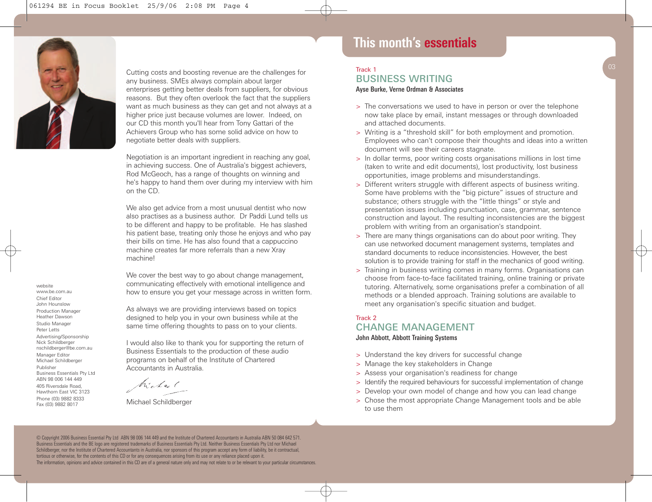

website www.be.com.au Chief Editor John Hounslow Production Manager Heather Dawson Studio Manager Peter Letts Advertising/Sponsorship Nick Schildberger nschildberger@be.com.au Manager Editor Michael Schildberger Publisher

Business Essentials Pty Ltd ABN 98 006 144 449 405 Riversdale Road, Hawthorn East VIC 3123 Phone (03) 9882 8333 Fax (03) 9882 8017

Cutting costs and boosting revenue are the challenges for any business. SMEs always complain about larger enterprises getting better deals from suppliers, for obvious reasons. But they often overlook the fact that the suppliers want as much business as they can get and not always at a higher price just because volumes are lower. Indeed, on our CD this month you'll hear from Tony Gattari of the Achievers Group who has some solid advice on how to negotiate better deals with suppliers.

Negotiation is an important ingredient in reaching any goal, in achieving success. One of Australia's biggest achievers, Rod McGeoch, has a range of thoughts on winning and he's happy to hand them over during my interview with him on the CD.

We also get advice from a most unusual dentist who now also practises as a business author. Dr Paddi Lund tells us to be different and happy to be profitable. He has slashed his patient base, treating only those he enjoys and who pay their bills on time. He has also found that a cappuccino machine creates far more referrals than a new Xray machine!

We cover the best way to go about change management, communicating effectively with emotional intelligence and how to ensure you get your message across in written form.

As always we are providing interviews based on topics designed to help you in your own business while at the same time offering thoughts to pass on to your clients.

I would also like to thank you for supporting the return of Business Essentials to the production of these audio programs on behalf of the Institute of Chartered Accountants in Australia.

Michael

Michael Schildberger

## **This month's essentials**

#### Track 1 BUSINESS WRITING *Ayse Burke, Verne Ordman & Associates*

- > The conversations we used to have in person or over the telephone now take place by email, instant messages or through downloaded and attached documents.
- > Writing is a "threshold skill" for both employment and promotion. Employees who can't compose their thoughts and ideas into a written document will see their careers stagnate.
- > In dollar terms, poor writing costs organisations millions in lost time (taken to write and edit documents), lost productivity, lost business opportunities, image problems and misunderstandings.
- > Different writers struggle with different aspects of business writing. Some have problems with the "big picture" issues of structure and substance; others struggle with the "little things" or style and presentation issues including punctuation, case, grammar, sentence construction and layout. The resulting inconsistencies are the biggest problem with writing from an organisation's standpoint.
- > There are many things organisations can do about poor writing. They can use networked document management systems, templates and standard documents to reduce inconsistencies. However, the best solution is to provide training for staff in the mechanics of good writing.
- > Training in business writing comes in many forms. Organisations can choose from face-to-face facilitated training, online training or private tutoring. Alternatively, some organisations prefer a combination of all methods or a blended approach. Training solutions are available to meet any organisation's specific situation and budget.

### Track 2 CHANGE MANAGEMENT

#### *John Abbott, Abbott Training Systems*

- > Understand the key drivers for successful change
- > Manage the key stakeholders in Change
- > Assess your organisation's readiness for change
- > Identify the required behaviours for successful implementation of change
- > Develop your own model of change and how you can lead change
- > Chose the most appropriate Change Management tools and be able to use them

#### © Copyright 2006 Business Essential Pty Ltd ABN 98 006 144 449 and the Institute of Chartered Accountants in Australia ABN 50 084 642 571. Business Essentials and the BE logo are registered trademarks of Business Essentials Pty Ltd. Neither Business Essentials Pty Ltd nor Michael Schildberger, nor the Institute of Chartered Accountants in Australia, nor sponsors of this program accept any form of liability, be it contractual, tortious or otherwise, for the contents of this CD or for any consequences arising from its use or any reliance placed upon it.

The information, opinions and advice contained in this CD are of a general nature only and may not relate to or be relevant to your particular circumstances.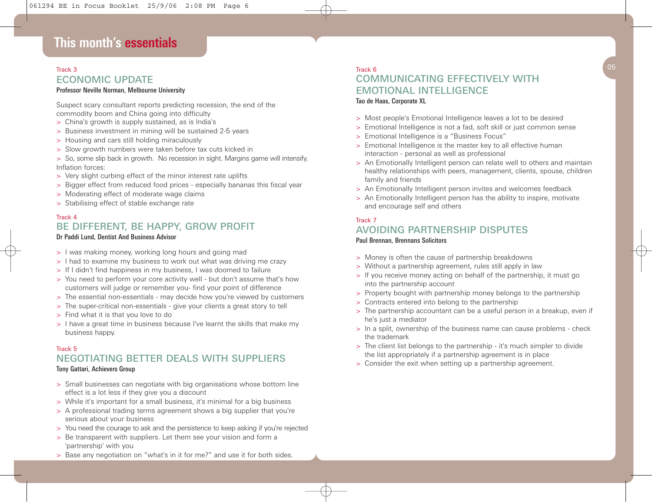## ECONOMIC UPDATE

#### *Professor Neville Norman, Melbourne University*

Suspect scary consultant reports predicting recession, the end of the commodity boom and China going into difficulty

- > China's growth is supply sustained, as is India's
- > Business investment in mining will be sustained 2-5 years
- > Housing and cars still holding miraculously
- > Slow growth numbers were taken before tax cuts kicked in
- > So, some slip back in growth. No recession in sight. Margins game will intensify. Inflation forces:
- > Very slight curbing effect of the minor interest rate uplifts
- > Bigger effect from reduced food prices especially bananas this fiscal year
- > Moderating effect of moderate wage claims
- > Stabilising effect of stable exchange rate

#### Track 4 BE DIFFERENT, BE HAPPY, GROW PROFIT

#### *Dr Paddi Lund, Dentist And Business Advisor*

- > I was making money, working long hours and going mad
- > I had to examine my business to work out what was driving me crazy
- > If I didn't find happiness in my business, I was doomed to failure
- > You need to perform your core activity well but don't assume that's how customers will judge or remember you- find your point of difference
- > The essential non-essentials may decide how you're viewed by customers
- > The super-critical non-essentials give your clients a great story to tell
- > Find what it is that you love to do
- > I have a great time in business because I've learnt the skills that make my business happy.

#### Track 5

#### NEGOTIATING BETTER DEALS WITH SUPPLIERS *Tony Gattari, Achievers Group*

- > Small businesses can negotiate with big organisations whose bottom line effect is a lot less if they give you a discount
- > While it's important for a small business, it's minimal for a big business
- > A professional trading terms agreement shows a big supplier that you're serious about your business
- > You need the courage to ask and the persistence to keep asking if you're rejected
- > Be transparent with suppliers. Let them see your vision and form a 'partnership' with you
- > Base any negotiation on "what's in it for me?" and use it for both sides.

#### Track 3 Track 6  $05$ Track 6 COMMUNICATING EFFECTIVELY WITH EMOTIONAL INTELLIGENCE *Tao de Haas, Corporate XL*

- > Most people's Emotional Intelligence leaves a lot to be desired
- > Emotional Intelligence is not a fad, soft skill or just common sense
- > Emotional Intelligence is a "Business Focus"
- > Emotional Intelligence is the master key to all effective human interaction - personal as well as professional
- > An Emotionally Intelligent person can relate well to others and maintain healthy relationships with peers, management, clients, spouse, children family and friends
- > An Emotionally Intelligent person invites and welcomes feedback
- > An Emotionally Intelligent person has the ability to inspire, motivate and encourage self and others

#### Track 7

### AVOIDING PARTNERSHIP DISPUTES

#### *Paul Brennan, Brennans Solicitors*

- > Money is often the cause of partnership breakdowns
- > Without a partnership agreement, rules still apply in law
- > If you receive money acting on behalf of the partnership, it must go into the partnership account
- > Property bought with partnership money belongs to the partnership
- > Contracts entered into belong to the partnership
- > The partnership accountant can be a useful person in a breakup, even if he's just a mediator
- > In a split, ownership of the business name can cause problems check the trademark
- > The client list belongs to the partnership it's much simpler to divide the list appropriately if a partnership agreement is in place
- > Consider the exit when setting up a partnership agreement.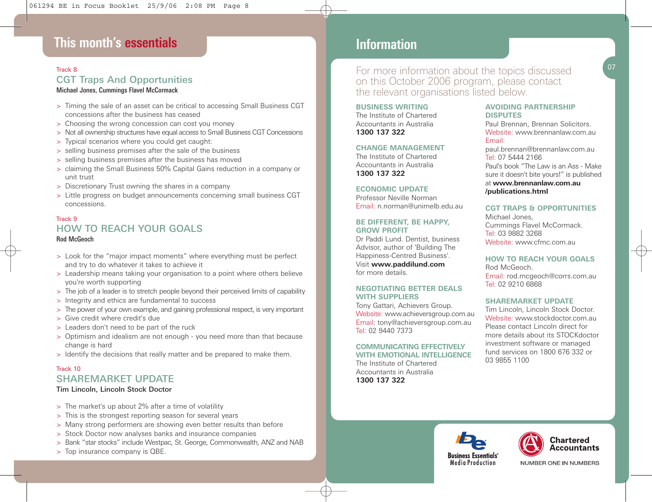## **This month's essentials**

### Track 8 CGT Traps And Opportunities

#### *Michael Jones, Cummings Flavel McCormack*

- > Timing the sale of an asset can be critical to accessing Small Business CGT concessions after the business has ceased
- > Choosing the wrong concession can cost you money
- > Not all ownership structures have equal access to Small Business CGT Concessions
- > Typical scenarios where you could get caught:
- > selling business premises after the sale of the business
- > selling business premises after the business has moved
- > claiming the Small Business 50% Capital Gains reduction in a company or unit trust
- > Discretionary Trust owning the shares in a company
- > Little progress on budget announcements concerning small business CGT concessions.

#### Track 9 HOW TO REACH YOUR GOALS *Rod McGeoch*

- > Look for the "major impact moments" where everything must be perfect and try to do whatever it takes to achieve it
- > Leadership means taking your organisation to a point where others believe you're worth supporting
- > The job of a leader is to stretch people beyond their perceived limits of capability
- > Integrity and ethics are fundamental to success
- > The power of your own example, and gaining professional respect, is very important
- > Give credit where credit's due
- > Leaders don't need to be part of the ruck
- > Optimism and idealism are not enough you need more than that because change is hard
- > Identify the decisions that really matter and be prepared to make them.

#### Track 10 SHAREMARKET UPDATE

#### Tim Lincoln, Lincoln Stock Doctor

- > The market's up about 2% after a time of volatility
- > This is the strongest reporting season for several years
- > Many strong performers are showing even better results than before
- > Stock Doctor now analyses banks and insurance companies
- > Bank "star stocks" include Westpac, St. George, Commonwealth, ANZ and NAB
- > Top insurance company is QBE.

### **This month's essentials Information**

For more information about the topics discussed on this October 2006 program, please contact the relevant organisations listed below.

**BUSINESS WRITING** The Institute of Chartered Accountants in Australia

**1300 137 322**

#### **CHANGE MANAGEMENT**

The Institute of Chartered Accountants in Australia **1300 137 322**

**ECONOMIC UPDATE** Professor Neville Norman Email: n.norman@unimelb.edu.au

#### **BE DIFFERENT, BE HAPPY, GROW PROFIT**

Dr Paddi Lund. Dentist, business Advisor, author of 'Building The Happiness-Centred Business'. Visit **www.paddilund.com** for more details.

#### **NEGOTIATING BETTER DEALS WITH SUPPLIERS**

Tony Gattari, Achievers Group. Website: www.achieversgroup.com.au Email: tony@achieversgroup.com.au Tel: 02 9440 7373

#### **COMMUNICATING EFFECTIVELY WITH EMOTIONAL INTELLIGENCE**

The Institute of Chartered Accountants in Australia **1300 137 322**

#### **AVOIDING PARTNERSHIP DISPUTES**

Paul Brennan, Brennan Solicitors. Website: www.brennanlaw.com.au. Email:

paul.brennan@brennanlaw.com.au Tel: 07 5444 2166 Paul's book "The Law is an Ass - Make sure it doesn't bite yours!" is published at **www.brennanlaw.com.au /publications.html**

#### **CGT TRAPS & OPPORTUNITIES**

Michael Jones, Cummings Flavel McCormack. Tel: 03 9882 3268 Website: www.cfmc.com.au

#### **HOW TO REACH YOUR GOALS**

Rod McGeoch. Email: rod.mcgeoch@corrs.com.au Tel: 02 9210 6868

#### **SHAREMARKET UPDATE**

Tim Lincoln, Lincoln Stock Doctor. Website: www.stockdoctor.com.au Please contact Lincoln direct for more details about its STOCKdoctor investment software or managed fund services on 1800 676 332 or 03 9855 1100





NUMBER ONE IN NUMBERS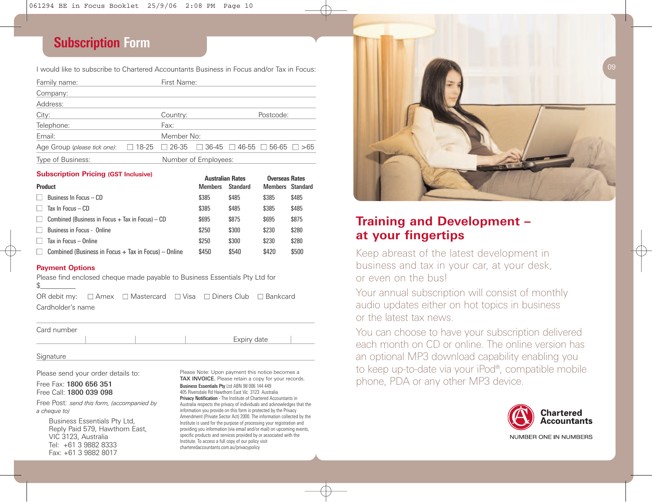## **Subscription Form**

I would like to subscribe to Chartered Accountants Business in Focus and/or Tax in Focus:

| Family name:                 |                                                                             | First Name:          |  |  |           |  |
|------------------------------|-----------------------------------------------------------------------------|----------------------|--|--|-----------|--|
| Company:                     |                                                                             |                      |  |  |           |  |
| Address:                     |                                                                             |                      |  |  |           |  |
| City:                        |                                                                             | Country:             |  |  | Postcode: |  |
| Telephone:                   |                                                                             | Fax:                 |  |  |           |  |
| Email:                       |                                                                             | Member No:           |  |  |           |  |
| Age Group (please tick one): | $\Box$ 18-25 $\Box$ 26-35 $\Box$ 36-45 $\Box$ 46-55 $\Box$ 56-65 $\Box$ >65 |                      |  |  |           |  |
| Type of Business:            |                                                                             | Number of Employees: |  |  |           |  |

#### **Subscription Pricing (GST Inclusive) Australian Rates Rates Rates Rates Rates Rates Rates Rates Rates Rates Rates Rates Rates Rates Rates Rates Rates Rates Rates Rates Rates Rates Rates Rates Rates Rates Rates Rates Rat**

|                                                                 | Australian Rates |          | <b>UVERSEAS RATES</b> |       |
|-----------------------------------------------------------------|------------------|----------|-----------------------|-------|
| <b>Product</b>                                                  | <b>Members</b>   | Standard | Members Standard      |       |
| Business In Focus - CD                                          | \$385            | \$485    | \$385                 | \$485 |
| Tax In Focus $-$ CD                                             | \$385            | \$485    | \$385                 | \$485 |
| Combined (Business in Focus $+$ Tax in Focus) $-$ CD<br>$\perp$ | \$695            | \$875    | \$695                 | \$875 |
| Business in Focus - Online                                      | \$250            | \$300    | \$230                 | \$280 |
| Tax in Focus - Online                                           | \$250            | \$300    | \$230                 | \$280 |
| Combined (Business in Focus $+$ Tax in Focus) – Online          | \$450            | \$540    | \$420                 | \$500 |

#### **Payment Options**

Please find enclosed cheque made payable to Business Essentials Pty Ltd for

OR debit my: **■** Amex **■** Mastercard **■** Visa **■** Diners Club **■** Bankcard Cardholder's name

Card number

**Signature** 

Please send your order details to:

Free Fax: 1800 656 351 Free Call: 1800 039 098

Free Post: *send this form, (accompanied by a cheque to)*

Business Essentials Pty Ltd, Reply Paid 579, Hawthorn East, VIC 3123, Australia Tel: +61 3 9882 8333 Fax: +61 3 9882 8017

Please Note: Upon payment this notice becomes a TAX INVOICE. Please retain a copy for your records.

Expiry date

*Business Essentials Pty* Ltd ABN 98 006 144 449 405 Riversdale Rd Hawthorn East Vic 3123 Australia *Privacy Notification* - The Institute of Chartered Accountants in Australia respects the privacy of individuals and acknowledges that the information you provide on this form is protected by the Privacy Amendment (Private Sector Act) 2000. The information collected by the Institute is used for the purpose of processing your registration and providing you information (via email and/or mail) on upcoming events, specific products and services provided by or associated with the Institute. To access a full copy of our policy visit charteredaccountants.com.au/privacypolicy



## **Training and Development – at your fingertips**

Keep abreast of the latest development in business and tax in your car, at your desk, or even on the bus!

Your annual subscription will consist of monthly audio updates either on hot topics in business or the latest tax news.

You can choose to have your subscription delivered each month on CD or online. The online version has an optional MP3 download capability enabling you to keep up-to-date via your iPod®, compatible mobile phone, PDA or any other MP3 device.